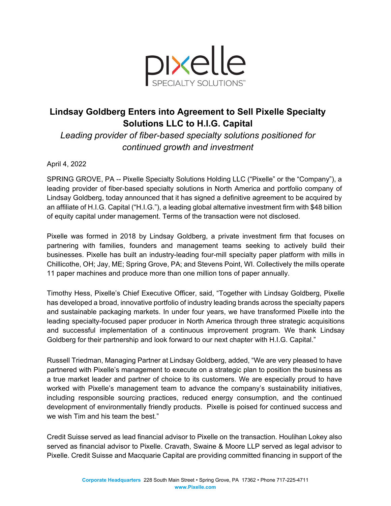

## **Lindsay Goldberg Enters into Agreement to Sell Pixelle Specialty Solutions LLC to H.I.G. Capital**

*Leading provider of fiber-based specialty solutions positioned for continued growth and investment* 

## April 4, 2022

SPRING GROVE, PA -- Pixelle Specialty Solutions Holding LLC ("Pixelle" or the "Company"), a leading provider of fiber-based specialty solutions in North America and portfolio company of Lindsay Goldberg, today announced that it has signed a definitive agreement to be acquired by an affiliate of H.I.G. Capital ("H.I.G."), a leading global alternative investment firm with \$48 billion of equity capital under management. Terms of the transaction were not disclosed.

Pixelle was formed in 2018 by Lindsay Goldberg, a private investment firm that focuses on partnering with families, founders and management teams seeking to actively build their businesses. Pixelle has built an industry-leading four-mill specialty paper platform with mills in Chillicothe, OH; Jay, ME; Spring Grove, PA; and Stevens Point, WI. Collectively the mills operate 11 paper machines and produce more than one million tons of paper annually.

Timothy Hess, Pixelle's Chief Executive Officer, said, "Together with Lindsay Goldberg, Pixelle has developed a broad, innovative portfolio of industry leading brands across the specialty papers and sustainable packaging markets. In under four years, we have transformed Pixelle into the leading specialty-focused paper producer in North America through three strategic acquisitions and successful implementation of a continuous improvement program. We thank Lindsay Goldberg for their partnership and look forward to our next chapter with H.I.G. Capital."

Russell Triedman, Managing Partner at Lindsay Goldberg, added, "We are very pleased to have partnered with Pixelle's management to execute on a strategic plan to position the business as a true market leader and partner of choice to its customers. We are especially proud to have worked with Pixelle's management team to advance the company's sustainability initiatives, including responsible sourcing practices, reduced energy consumption, and the continued development of environmentally friendly products. Pixelle is poised for continued success and we wish Tim and his team the best."

Credit Suisse served as lead financial advisor to Pixelle on the transaction. Houlihan Lokey also served as financial advisor to Pixelle. Cravath, Swaine & Moore LLP served as legal advisor to Pixelle. Credit Suisse and Macquarie Capital are providing committed financing in support of the